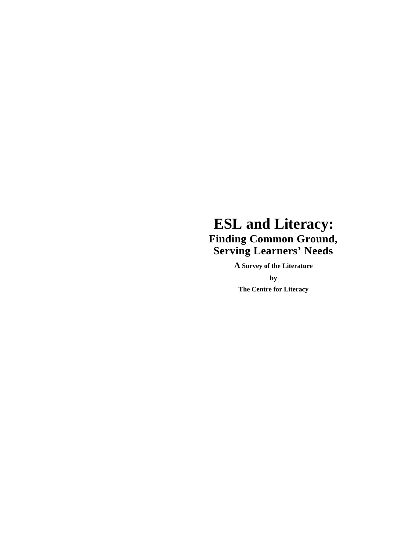# **ESL and Literacy: Finding Common Ground, Serving Learners' Needs**

**A Survey of the Literature**

**by The Centre for Literacy**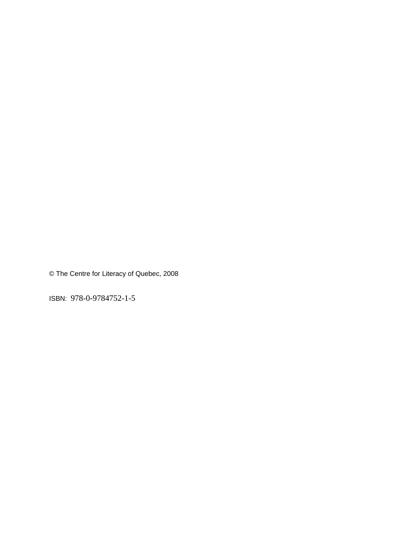© The Centre for Literacy of Quebec, 2008

ISBN: 978-0-9784752-1-5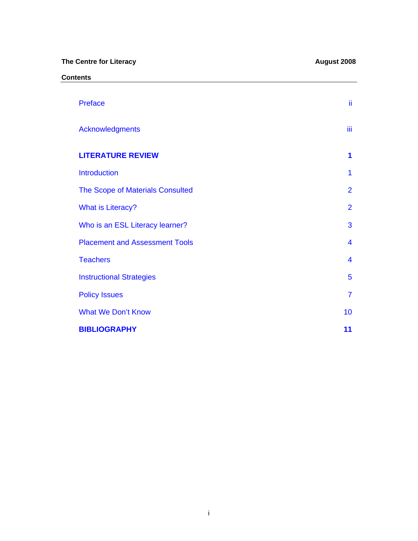| Preface                               |    |
|---------------------------------------|----|
| Acknowledgments                       |    |
| <b>LITERATURE REVIEW</b>              |    |
| Introduction                          |    |
| The Scope of Materials Consulted      |    |
| <b>What is Literacy?</b>              |    |
| Who is an ESL Literacy learner?       |    |
| <b>Placement and Assessment Tools</b> |    |
| <b>Teachers</b>                       |    |
| <b>Instructional Strategies</b>       |    |
| <b>Policy Issues</b>                  |    |
| What We Don't Know                    |    |
| <b>BIBLIOGRAPHY</b>                   | 11 |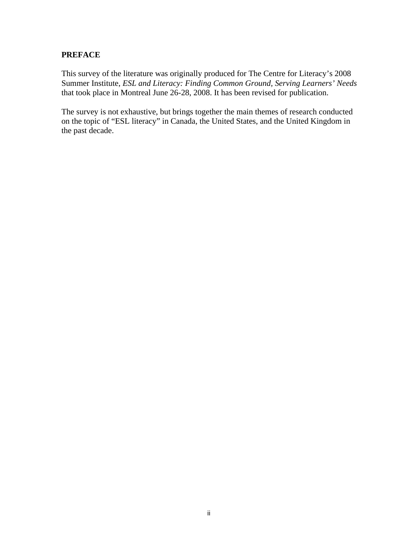# <span id="page-3-0"></span>**PREFACE**

This survey of the literature was originally produced for The Centre for Literacy's 2008 Summer Institute, *ESL and Literacy: Finding Common Ground, Serving Learners' Needs* 

that took place in Montreal June 26-28, 2008. It has been revised for publication.<br>The survey is not exhaustive, but brings together the main themes of research conducted on the topic of "ESL literacy" in Canada, the United States, and the United Kingdom in the past decade.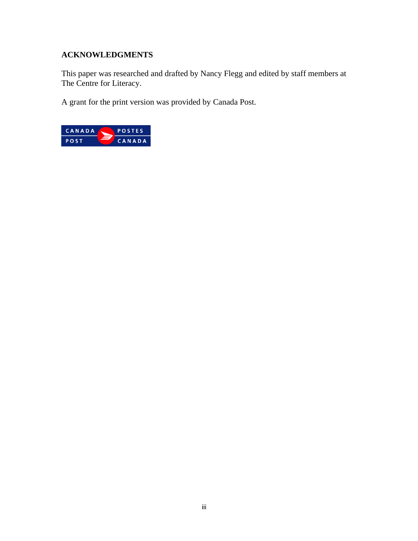# <span id="page-4-0"></span>**ACKNOWLEDGMENTS**

This paper was researched and drafted by Nancy Flegg and edited by staff members at The Centre for Literacy.<br>A grant for the print version was provided by Canada Post.

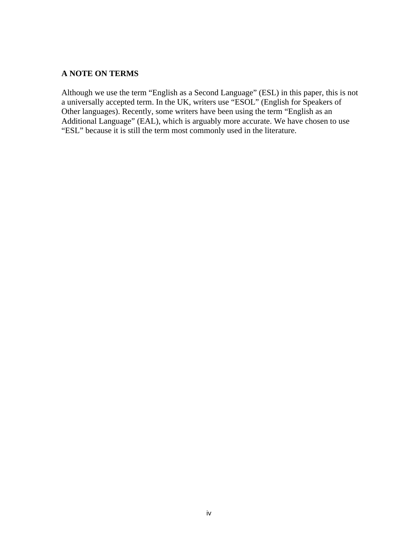# **A NOTE ON TERMS**

Although we use the term "English as a Second Language" (ESL) in this paper, this is not a universally accepted term. In the UK, writers use "ESOL" (English for Speakers of Other languages). Recently, some writers have been using the term "English as an Additional Language" (EAL), which is arguably more accurate. We have chosen to use "ESL" because it is still the term most commonly used in the literature.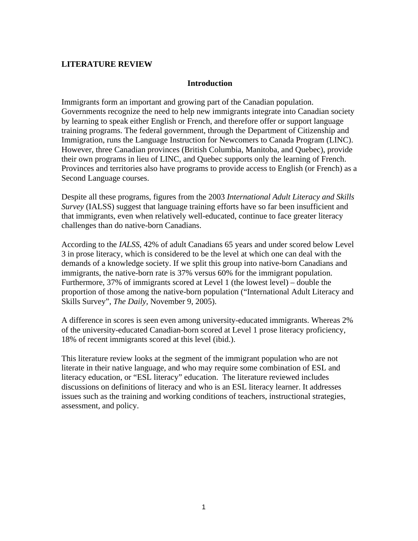# <span id="page-6-0"></span>**LITERATURE REVIEW**

# **Introduction**

Immigrants form an important and growing part of the Canadian population. Governments recognize the need to help new immigrants integrate into Canadian society by learning to speak either English or French, and therefore offer or support language training programs. The federal government, through the Department of Citizenship and Immigration, runs the Language Instruction for Newcomers to Canada Program (LINC). However, three Canadian provinces (British Columbia, Manitoba, and Quebec), provide their own programs in lieu of LINC, and Quebec supports only the learning of French. Provinces and territories also have programs to provide access to English (or French) as a Second Language courses.<br>Despite all these programs, figures from the 2003 *International Adult Literacy and Skills* 

*Survey* (IALSS) suggest that language training efforts have so far been insufficient and that immigrants, even when relatively well-educated, continue to face greater literacy challenges than do native-born Canadians. According to the *IALSS*, 42% of adult Canadians 65 years and under scored below Level

3 in prose literacy, which is considered to be the level at which one can deal with the demands of a knowledge society. If we split this group into native-born Canadians and immigrants, the native-born rate is 37% versus 60% for the immigrant population. Furthermore, 37% of immigrants scored at Level 1 (the lowest level) – double the proportion of those among the native-born population ("International Adult Literacy and Skills Survey", *The Daily*, November 9, 2005).<br>A difference in scores is seen even among university-educated immigrants. Whereas 2%

of the university-educated Canadian-born scored at Level 1 prose literacy proficiency, 18% of recent immigrants scored at this level (ibid.). This literature review looks at the segment of the immigrant population who are not

literate in their native language, and who may require some combination of ESL and literacy education, or "ESL literacy" education. The literature reviewed includes discussions on definitions of literacy and who is an ESL literacy learner. It addresses issues such as the training and working conditions of teachers, instructional strategies, assessment, and policy.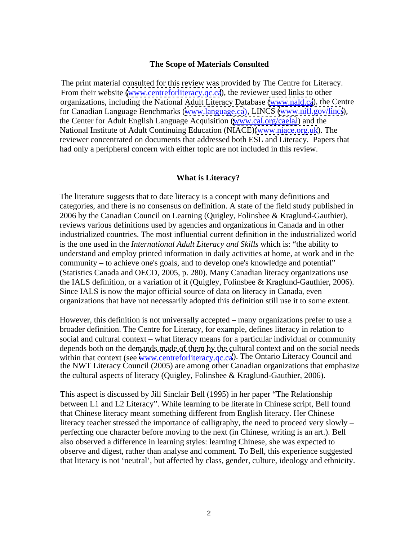# **The Scope of Materials Consulted**

<span id="page-7-0"></span>The print material consulted for this review was provided by The Centre for Literacy. From their website [\(www.centreforliteracy.qc.ca](http://www.centreforliteracy.qc.ca)), the reviewer used links to other organizations, including the National Adult Literacy Database [\(www.nald.ca](http://www.nald.ca)), the Centre for Canadian Language Benchmarks ([www.language.ca\)](http://www.language.ca), LINCS [\(www.nifl.gov/lincs](http://www.nifl.gov/lincs)), the Center for Adult English Language Acquisition ([www.cal.org/caela/](http://www.cal.org/caela/)) and the National Institute of Adult Continuing Education (NIACE)[\(www.niace.org.uk](http://www.niace.org.uk)). The reviewer concentrated on documents that addressed both ESL and Literacy. Papers that had only a peripheral concern with either topic are not included in this review.

# **What is Literacy?**

The literature suggests that to date literacy is a concept with many definitions and categories, and there is no consensus on definition. A state of the field study published in 2006 by the Canadian Council on Learning (Quigley, Folinsbee & Kraglund-Gauthier), reviews various definitions used by agencies and organizations in Canada and in other industrialized countries. The most influential current definition in the industrialized world is the one used in the *International Adult Literacy and Skills* which is: "the ability to understand and employ printed information in daily activities at home, at work and in the community – to achieve one's goals, and to develop one's knowledge and potential" (Statistics Canada and OECD, 2005, p. 280). Many Canadian literacy organizations use the IALS definition, or a variation of it (Quigley, Folinsbee & Kraglund-Gauthier, 2006). Since IALS is now the major official source of data on literacy in Canada, even organizations that have not necessarily adopted this definition still use it to some extent. However, this definition is not universally accepted – many organizations prefer to use a

broader definition. The Centre for Literacy, for example, defines literacy in relation to social and cultural context – what literacy means for a particular individual or community depends both on the demands made of them by the cultural context and on the social needs within that context (see [www.centreforliteracy.qc.ca](http://www.centreforliteracy.qc.ca)). The Ontario Literacy Council and the NWT Literacy Council (2005) are among other Canadian organizations that emphasize the cultural aspects of literacy (Quigley, Folinsbee & Kraglund-Gauthier, 2006). This aspect is discussed by Jill Sinclair Bell (1995) in her paper "The Relationship

between L1 and L2 Literacy". While learning to be literate in Chinese script, Bell found that Chinese literacy meant something different from English literacy. Her Chinese literacy teacher stressed the importance of calligraphy, the need to proceed very slowly – perfecting one character before moving to the next (in Chinese, writing is an art.). Bell also observed a difference in learning styles: learning Chinese, she was expected to observe and digest, rather than analyse and comment. To Bell, this experience suggested that literacy is not 'neutral', but affected by class, gender, culture, ideology and ethnicity.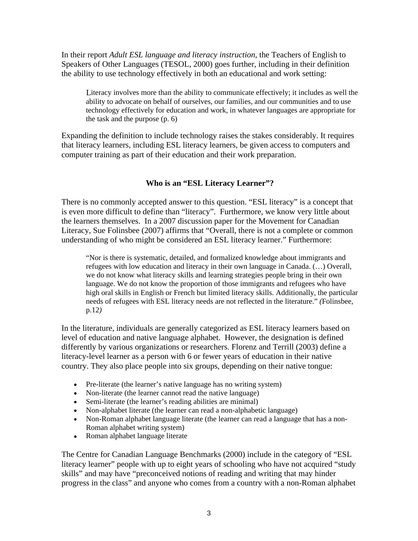<span id="page-8-0"></span>In their report *Adult ESL language and literacy instruction,* the Teachers of English to Speakers of Other Languages (TESOL, 2000) goes further, including in their definition the ability to use technology effectively in both an educational and work setting: Literacy involves more than the ability to communicate effectively; it includes as well the

ability to advocate on behalf of ourselves, our families, and our communities and to use technology effectively for education and work, in whatever languages are appropriate for the task and the purpose (p. 6)

Expanding the definition to include technology raises the stakes considerably. It requires that literacy learners, including ESL literacy learners, be given access to computers and computer training as part of their education and their work preparation.

**Who is an "ESL Literacy Learner"?**<br>There is no commonly accepted answer to this question. "ESL literacy" is a concept that is even more difficult to define than "literacy". Furthermore, we know very little about the learners themselves. In a 2007 discussion paper for the Movement for Canadian Literacy, Sue Folinsbee (2007) affirms that "Overall, there is not a complete or common understanding of who might be considered an ESL literacy learner." Furthermore: "Nor is there is systematic, detailed, and formalized knowledge about immigrants and

refugees with low education and literacy in their own language in Canada. (…) Overall, we do not know what literacy skills and learning strategies people bring in their own language. We do not know the proportion of those immigrants and refugees who have high oral skills in English or French but limited literacy skills. Additionally, the particular needs of refugees with ESL literacy needs are not reflected in the literature." *(*Folinsbee, p.12*)*

In the literature, individuals are generally categorized as ESL literacy learners based on level of education and native language alphabet. However, the designation is defined differently by various organizations or researchers. Florenz and Terrill (2003) define a literacy-level learner as a person with 6 or fewer years of education in their native country. They also place people into six groups, depending on their native tongue:

- Pre-literate (the learner's native language has no writing system)
- Non-literate (the learner cannot read the native language)
- Semi-literate (the learner's reading abilities are minimal)
- Non-alphabet literate (the learner can read a non-alphabetic language)
- Non-Roman alphabet language literate (the learner can read a language that has a non-
- Roman alphabet writing system)<br>• Roman alphabet language literate

The Centre for Canadian Language Benchmarks (2000) include in the category of "ESL literacy learner" people with up to eight years of schooling who have not acquired "study skills" and may have "preconceived notions of reading and writing that may hinder progress in the class" and anyone who comes from a country with a non-Roman alphabet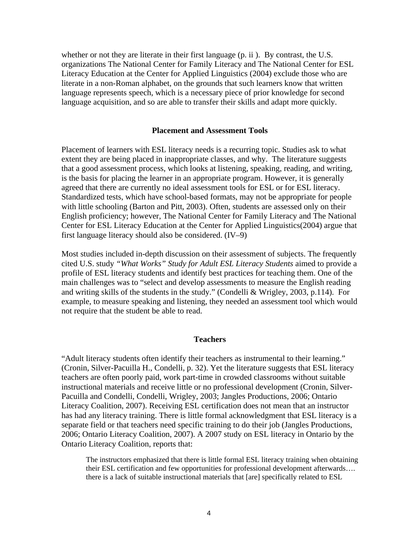<span id="page-9-0"></span>whether or not they are literate in their first language (p. ii ).By contrast, the U.S. organizations The National Center for Family Literacy and The National Center for ESL Literacy Education at the Center for Applied Linguistics (2004) exclude those who are literate in a non-Roman alphabet, on the grounds that such learners know that written language represents speech, which is a necessary piece of prior knowledge for second language acquisition, and so are able to transfer their skills and adapt more quickly.

## **Placement and Assessment Tools**

Placement of learners with ESL literacy needs is a recurring topic. Studies ask to what extent they are being placed in inappropriate classes, and why. The literature suggests that a good assessment process, which looks at listening, speaking, reading, and writing, is the basis for placing the learner in an appropriate program. However, it is generally agreed that there are currently no ideal assessment tools for ESL or for ESL literacy. Standardized tests, which have school-based formats, may not be appropriate for people with little schooling (Barton and Pitt, 2003). Often, students are assessed only on their English proficiency; however, The National Center for Family Literacy and The National Center for ESL Literacy Education at the Center for Applied Linguistics(2004) argue that first language literacy should also be considered. (IV–9)<br>Most studies included in-depth discussion on their assessment of subjects. The frequently

cited U.S. study *"What Works" Study for Adult ESL Literacy Students* aimed to provide a profile of ESL literacy students and identify best practices for teaching them. One of the main challenges was to "select and develop assessments to measure the English reading and writing skills of the students in the study." (Condelli & Wrigley, 2003, p.114). For example, to measure speaking and listening, they needed an assessment tool which would not require that the student be able to read.

**Teachers**<br>
"Adult literacy students often identify their teachers as instrumental to their learning." (Cronin, Silver-Pacuilla H., Condelli, p. 32). Yet the literature suggests that ESL literacy teachers are often poorly paid, work part-time in crowded classrooms without suitable instructional materials and receive little or no professional development (Cronin, Silver- Pacuilla and Condelli, Condelli, Wrigley, 2003; Jangles Productions, 2006; Ontario Literacy Coalition, 2007). Receiving ESL certification does not mean that an instructor has had any literacy training. There is little formal acknowledgment that ESL literacy is a separate field or that teachers need specific training to do their job (Jangles Productions, 2006; Ontario Literacy Coalition, 2007). A 2007 study on ESL literacy in Ontario by the Ontario Literacy Coalition, reports that:

The instructors emphasized that there is little formal ESL literacy training when obtaining their ESL certification and few opportunities for professional development afterwards…. there is a lack of suitable instructional materials that [are] specifically related to ESL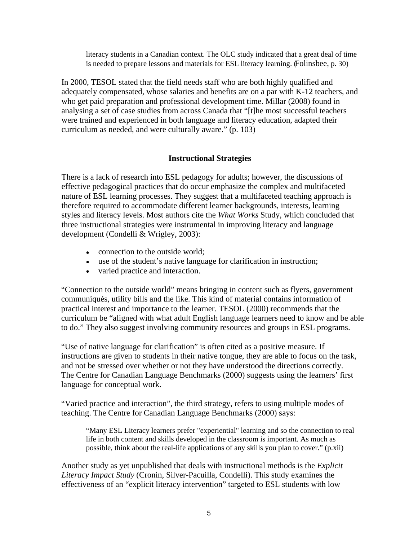literacy students in a Canadian context. The OLC study indicated that a great deal of time

<span id="page-10-0"></span>is needed to prepare lessons and materials for ESL literacy learning. (Folinsbee, p. 30) In 2000, TESOL stated that the field needs staff who are both highly qualified and adequately compensated, whose salaries and benefits are on a par with K-12 teachers, and who get paid preparation and professional development time. Millar (2008) found in analysing a set of case studies from across Canada that "[t]he most successful teachers were trained and experienced in both language and literacy education, adapted their curriculum as needed, and were culturally aware." (p. 103)

# **Instructional Strategies**

There is a lack of research into ESL pedagogy for adults; however, the discussions of effective pedagogical practices that do occur emphasize the complex and multifaceted nature of ESL learning processes. They suggest that a multifaceted teaching approach is therefore required to accommodate different learner backgrounds, interests, learning styles and literacy levels. Most authors cite the *What Works* Study, which concluded that three instructional strategies were instrumental in improving literacy and language development (Condelli & Wrigley, 2003):<br>
• connection to the outside world;

- 
- use of the student's native language for clarification in instruction;
- 

varied practice and interaction.<br>"Connection to the outside world" means bringing in content such as flyers, government communiqués, utility bills and the like. This kind of material contains information of practical interest and importance to the learner. TESOL (2000) recommends that the curriculum be "aligned with what adult English language learners need to know and be able to do." They also suggest involving community resources and groups in ESL programs. "Use of native language for clarification" is often cited as a positive measure. If

instructions are given to students in their native tongue, they are able to focus on the task, and not be stressed over whether or not they have understood the directions correctly. The Centre for Canadian Language Benchmarks (2000) suggests using the learners' first language for conceptual work. "Varied practice and interaction", the third strategy, refers to using multiple modes of

teaching. The Centre for Canadian Language Benchmarks (2000) says:

"Many ESL Literacy learners prefer "experiential" learning and so the connection to real life in both content and skills developed in the classroom is important. As much as

possible, think about the real-life applications of any skills you plan to cover." (p.xii) Another study as yet unpublished that deals with instructional methods is the *Explicit Literacy Impact Study* (Cronin, Silver-Pacuilla, Condelli). This study examines the effectiveness of an "explicit literacy intervention" targeted to ESL students with low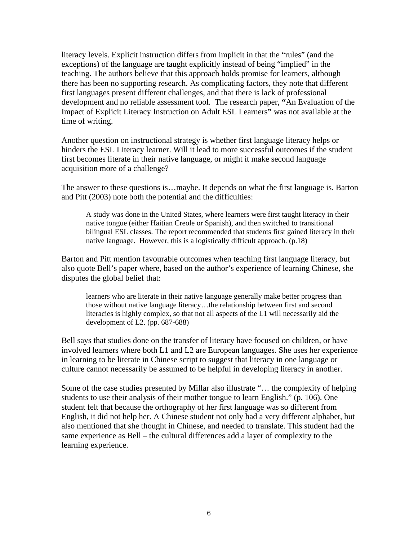literacy levels. Explicit instruction differs from implicit in that the "rules" (and the exceptions) of the language are taught explicitly instead of being "implied" in the teaching. The authors believe that this approach holds promise for learners, although there has been no supporting research. As complicating factors, they note that different first languages present different challenges, and that there is lack of professional development and no reliable assessment tool. The research paper, **"**An Evaluation of the Impact of Explicit Literacy Instruction on Adult ESL Learners**"** was not available at the time of writing.

Another question on instructional strategy is whether first language literacy helps or hinders the ESL Literacy learner. Will it lead to more successful outcomes if the student first becomes literate in their native language, or might it make second language acquisition more of a challenge?<br>The answer to these questions is…maybe. It depends on what the first language is. Barton

and Pitt (2003) note both the potential and the difficulties:<br>A study was done in the United States, where learners were first taught literacy in their

native tongue (either Haitian Creole or Spanish), and then switched to transitional bilingual ESL classes. The report recommended that students first gained literacy in their native language. However, this is a logistically difficult approach. (p.18)

Barton and Pitt mention favourable outcomes when teaching first language literacy, but also quote Bell's paper where, based on the author's experience of learning Chinese, she disputes the global belief that:

learners who are literate in their native language generally make better progress than those without native language literacy…the relationship between first and second literacies is highly complex, so that not all aspects of the L1 will necessarily aid the

development of L2. (pp. 687-688)<br>Bell says that studies done on the transfer of literacy have focused on children, or have involved learners where both L1 and L2 are European languages. She uses her experience in learning to be literate in Chinese script to suggest that literacy in one language or culture cannot necessarily be assumed to be helpful in developing literacy in another. Some of the case studies presented by Millar also illustrate "… the complexity of helping

students to use their analysis of their mother tongue to learn English." (p. 106). One student felt that because the orthography of her first language was so different from English, it did not help her. A Chinese student not only had a very different alphabet, but also mentioned that she thought in Chinese, and needed to translate. This student had the same experience as Bell – the cultural differences add a layer of complexity to the learning experience.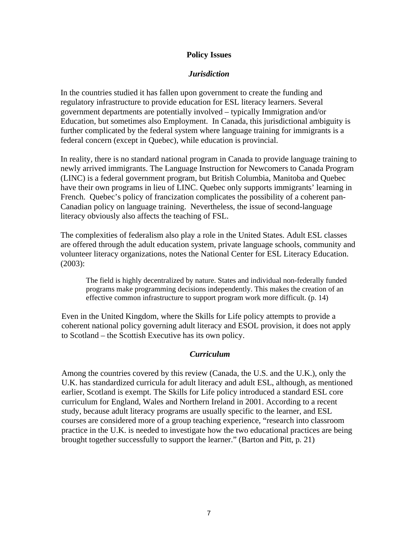# **Policy Issues**

# *Jurisdiction*

<span id="page-12-0"></span>In the countries studied it has fallen upon government to create the funding and regulatory infrastructure to provide education for ESL literacy learners. Several government departments are potentially involved – typically Immigration and/or Education, but sometimes also Employment. In Canada, this jurisdictional ambiguity is further complicated by the federal system where language training for immigrants is a federal concern (except in Quebec), while education is provincial. In reality, there is no standard national program in Canada to provide language training to

newly arrived immigrants. The Language Instruction for Newcomers to Canada Program (LINC) is a federal government program, but British Columbia, Manitoba and Quebec have their own programs in lieu of LINC. Quebec only supports immigrants' learning in French. Quebec's policy of francization complicates the possibility of a coherent pan- Canadian policy on language training. Nevertheless, the issue of second-language literacy obviously also affects the teaching of FSL. The complexities of federalism also play a role in the United States. Adult ESL classes

are offered through the adult education system, private language schools, community and volunteer literacy organizations, notes the National Center for ESL Literacy Education. (2003):

The field is highly decentralized by nature. States and individual non-federally funded programs make programming decisions independently. This makes the creation of an effective common infrastructure to support program work more difficult. (p. 14)

Even in the United Kingdom, where the Skills for Life policy attempts to provide a coherent national policy governing adult literacy and ESOL provision, it does not apply to Scotland – the Scottish Executive has its own policy.

# *Curriculum*

Among the countries covered by this review (Canada, the U.S. and the U.K.), only the U.K. has standardized curricula for adult literacy and adult ESL, although, as mentioned earlier, Scotland is exempt. The Skills for Life policy introduced a standard ESL core curriculum for England, Wales and Northern Ireland in 2001. According to a recent study, because adult literacy programs are usually specific to the learner, and ESL courses are considered more of a group teaching experience, "research into classroom practice in the U.K. is needed to investigate how the two educational practices are being brought together successfully to support the learner." (Barton and Pitt, p*.* 21)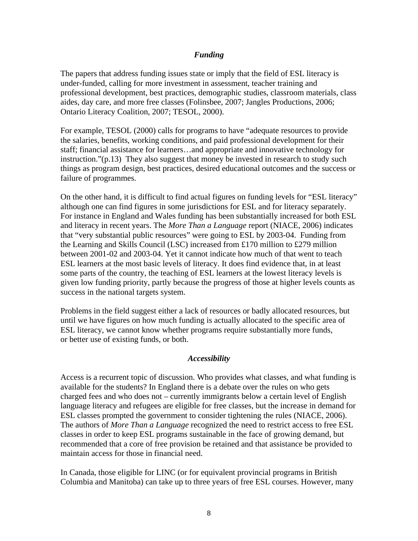# *Funding*

The papers that address funding issues state or imply that the field of ESL literacy is under-funded, calling for more investment in assessment, teacher training and professional development, best practices, demographic studies, classroom materials, class aides, day care, and more free classes (Folinsbee, 2007; Jangles Productions, 2006; Ontario Literacy Coalition, 2007; TESOL, 2000).

For example, TESOL (2000) calls for programs to have "adequate resources to provide the salaries, benefits, working conditions, and paid professional development for their staff; financial assistance for learners…and appropriate and innovative technology for instruction."(p.13) They also suggest that money be invested in research to study such things as program design, best practices, desired educational outcomes and the success or failure of programmes.

On the other hand, it is difficult to find actual figures on funding levels for "ESL literacy" although one can find figures in some jurisdictions for ESL and for literacy separately. For instance in England and Wales funding has been substantially increased for both ESL and literacy in recent years. The *More Than a Language* report (NIACE, 2006) indicates that "very substantial public resources" were going to ESL by 2003-04. Funding from the Learning and Skills Council (LSC) increased from £170 million to £279 million between 2001-02 and 2003-04. Yet it cannot indicate how much of that went to teach ESL learners at the most basic levels of literacy. It does find evidence that, in at least some parts of the country, the teaching of ESL learners at the lowest literacy levels is given low funding priority, partly because the progress of those at higher levels counts as success in the national targets system.

Problems in the field suggest either a lack of resources or badly allocated resources, but until we have figures on how much funding is actually allocated to the specific area of ESL literacy, we cannot know whether programs require substantially more funds, or better use of existing funds, or both.

# *Accessibility*

Access is a recurrent topic of discussion. Who provides what classes, and what funding is available for the students? In England there is a debate over the rules on who gets charged fees and who does not – currently immigrants below a certain level of English language literacy and refugees are eligible for free classes, but the increase in demand for ESL classes prompted the government to consider tightening the rules (NIACE, 2006). The authors of *More Than a Language* recognized the need to restrict access to free ESL classes in order to keep ESL programs sustainable in the face of growing demand, but recommended that a core of free provision be retained and that assistance be provided to maintain access for those in financial need.<br>In Canada, those eligible for LINC (or for equivalent provincial programs in British

Columbia and Manitoba) can take up to three years of free ESL courses. However, many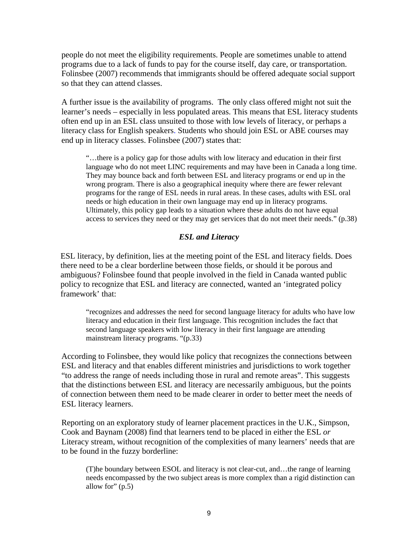people do not meet the eligibility requirements. People are sometimes unable to attend programs due to a lack of funds to pay for the course itself, day care, or transportation. Folinsbee (2007) recommends that immigrants should be offered adequate social support so that they can attend classes.<br>A further issue is the availability of programs. The only class offered might not suit the

learner's needs – especially in less populated areas. This means that ESL literacy students often end up in an ESL class unsuited to those with low levels of literacy, or perhaps a literacy class for English speakers. Students who should join ESL or ABE courses may end up in literacy classes. Folinsbee (2007) states that:

"…there is a policy gap for those adults with low literacy and education in their first language who do not meet LINC requirements and may have been in Canada a long time. They may bounce back and forth between ESL and literacy programs or end up in the wrong program. There is also a geographical inequity where there are fewer relevant programs for the range of ESL needs in rural areas. In these cases, adults with ESL oral needs or high education in their own language may end up in literacy programs. Ultimately, this policy gap leads to a situation where these adults do not have equal access to services they need or they may get services that do not meet their needs." (p.38)

# *ESL and Literacy*

ESL literacy, by definition, lies at the meeting point of the ESL and literacy fields. Does there need to be a clear borderline between those fields, or should it be porous and ambiguous? Folinsbee found that people involved in the field in Canada wanted public policy to recognize that ESL and literacy are connected, wanted an 'integrated policy framework' that:

"recognizes and addresses the need for second language literacy for adults who have low literacy and education in their first language. This recognition includes the fact that second language speakers with low literacy in their first language are attending mainstream literacy programs. "(p.33)<br>According to Folinsbee, they would like policy that recognizes the connections between

ESL and literacy and that enables different ministries and jurisdictions to work together "to address the range of needs including those in rural and remote areas". This suggests that the distinctions between ESL and literacy are necessarily ambiguous, but the points of connection between them need to be made clearer in order to better meet the needs of ESL literacy learners.<br>Reporting on an exploratory study of learner placement practices in the U.K., Simpson,

Cook and Baynam (2008) find that learners tend to be placed in either the ESL *or* Literacy stream, without recognition of the complexities of many learners' needs that are to be found in the fuzzy borderline:

 $(T)$ he boundary between ESOL and literacy is not clear-cut, and…the range of learning needs encompassed by the two subject areas is more complex than a rigid distinction can allow for"  $(p.5)$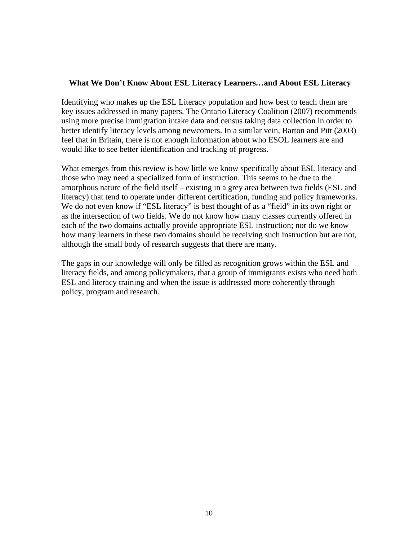# <span id="page-15-0"></span> **What We Don't Know About ESL Literacy Learners…and About ESL Literacy**

Identifying who makes up the ESL Literacy population and how best to teach them are key issues addressed in many papers. The Ontario Literacy Coalition (2007) recommends using more precise immigration intake data and census taking data collection in order to better identify literacy levels among newcomers. In a similar vein, Barton and Pitt (2003) feel that in Britain, there is not enough information about who ESOL learners are and would like to see better identification and tracking of progress. What emerges from this review is how little we know specifically about ESL literacy and

those who may need a specialized form of instruction. This seems to be due to the amorphous nature of the field itself – existing in a grey area between two fields (ESL and literacy) that tend to operate under different certification, funding and policy frameworks. We do not even know if "ESL literacy" is best thought of as a "field" in its own right or as the intersection of two fields. We do not know how many classes currently offered in each of the two domains actually provide appropriate ESL instruction; nor do we know how many learners in these two domains should be receiving such instruction but are not, although the small body of research suggests that there are many. The gaps in our knowledge will only be filled as recognition grows within the ESL and

literacy fields, and among policymakers, that a group of immigrants exists who need both ESL and literacy training and when the issue is addressed more coherently through policy, program and research.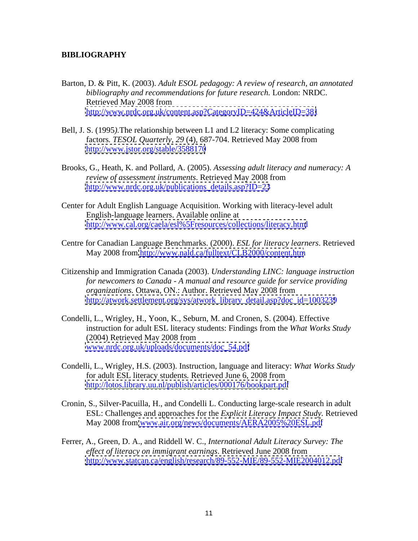# **BIBLIOGRAPHY**

- <span id="page-16-0"></span>Barton, D. & Pitt, K. (2003). *Adult ESOL pedagogy: A review of research, an annotated bibliography and recommendations for future research.* London: NRDC. Retrieved May 2008 from <http://www.nrdc.org.uk/content.asp?CategoryID=424&ArticleID=381> BIBLIOGRAPHY<br>
Barton, D. & Pitt, K. (2003). *Adult ESOL pedagogy: A review of research, an annotated*<br> *bibliography and recommendations for future research.* London: NRDC.<br>
Retrieved May 2008 from<br>
http://www.nrdc.org.uk/
	- Bell, J. S. (1995*).*The relationship between L1 and L2 literacy: Some complicating factors*. TESOL Quarterly, 29* (4)*,* 687-704. Retrieved May 2008 from http://www.jstor.org/stable/3588170
	- *review of assessment instruments*. Retrieved May 2008 from [http://www.nrdc.org.uk/publications\\_details.asp?ID=23](http://www.nrdc.org.uk/publications_details.asp?ID=23)
	- Center for Adult English Language Acquisition. Working with literacy-level adult English-language learners. Available online at [http://www.cal.org/caela/esl%5Fresources/collections/literacy.htm](http://www.cal.org/caela/esl%5Fresources/collections/literacy.html)l
	- Centre for Canadian Language Benchmarks. (2000). *ESL for literacy learners*. Retrieved May 2008 from<http://www.nald.ca/fulltext/CLB2000/content.htm>
	- Citizenship and Immigration Canada (2003). *Understanding LINC: language instruction for newcomers to Canada - A manual and resource guide for service providing organizations.* Ottawa, ON.: Author. Retrieved May 2008 from [http://atwork.settlement.org/sys/atwork\\_library\\_detail.asp?doc\\_id=1003239](http://atwork.settlement.org/sys/atwork_library_detail.asp?doc_id=1003239)
	- Condelli, L., Wrigley, H., Yoon, K., Seburn, M. and Cronen, S. (2004). Effective instruction for adult ESL literacy students: Findings from the *What Works Study* (2004) Retrieved May 2008 from [www.nrdc.org.uk/uploads/documents/doc\\_54.pdf](http://www.nrdc.org.uk/uploads/documents/doc_54.pdf)
	- Condelli, L., Wrigley, H.S. (2003). Instruction, language and literacy: *What Works Study* for adult ESL literacy students*.* Retrieved June 6, 2008 from <http://lotos.library.uu.nl/publish/articles/000176/bookpart.pdf>
	- Cronin, S., Silver-Pacuilla, H., and Condelli L. Conducting large-scale research in adult ESL: Challenges and approaches for the *Explicit Literacy Impact Study.* Retrieved May 2008 from [www.air.org/news/documents/AERA2005%20ESL.pdf](http://www.air.org/news/documents/AERA2005%20ESL.pdf)
	- Ferrer, A., Green, D. A., and Riddell W. C., *International Adult Literacy Survey: The effect of literacy on immigrant earnings*. Retrieved June 2008 from <http://www.statcan.ca/english/research/89-552-MIE/89-552-MIE2004012.pdf>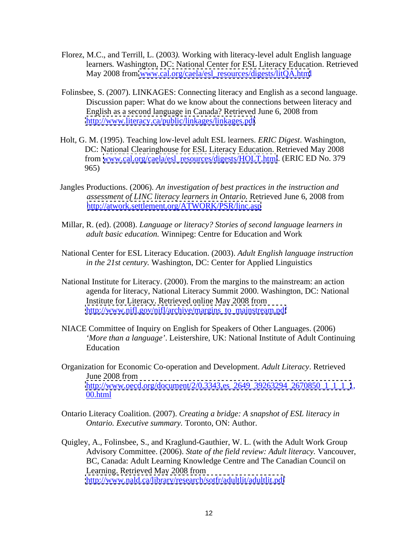- Florez, M.C., and Terrill, L. (2003*).* Working with literacy-level adult English language learners*.* Washington, DC: National Center for ESL Literacy Education. Retrieved May 2008 from www.cal.org/caela/esl\_resources/digests/litQA.html Florez, M.C., and Terrill, L. (2003). Working with literacy-level adult English language<br>learners. Washington, DC: National Center for ESL Literacy Education. Retrieved<br>May 2008 from www.cal.org/caela/esl\_resources/digests
	- Discussion paper: What do we know about the connections between literacy and English as a second language in Canada? Retrieved June 6, 2008 from [http://www.literacy.ca/public/linkages/linkages.pdf.](http://www.literacy.ca/public/linkages/linkages.pdf) Holt, G. M. (1995). Teaching low-level adult ESL learners. *ERIC Digest*. Washington,
	- DC: National Clearinghouse for ESL Literacy Education. Retrieved May 2008 from [www.cal.org/caela/esl\\_resources/digests/HOLT.html](http://www.cal.org/caela/esl_resources/digests/HOLT.html). (ERIC ED No. 379 965)
	- Jangles Productions. (2006). *An investigation of best practices in the instruction and assessment of LINC literacy learners in Ontario.* Retrieved June 6, 2008 from <http://atwork.settlement.org/ATWORK/PSR/linc.asp>
	- Millar, R. (ed). (2008). *Language or literacy? Stories of second language learners in adult basic education.* Winnipeg: Centre for Education and Work National Center for ESL Literacy Education. (2003). *Adult English language instruction*
	- *in the 21st century.* Washington, DC: Center for Applied Linguistics
	- National Institute for Literacy. (2000). From the margins to the mainstream: an action agenda for literacy, National Literacy Summit 2000. Washington, DC: National Institute for Literacy. Retrieved online May 2008 from [http://www.nifl.gov/nifl/archive/margins\\_to\\_mainstream.pdf](http://www.nifl.gov/nifl/archive/margins_to_mainstream.pdf)
	- NIACE Committee of Inquiry on English for Speakers of Other Languages. (2006) *'More than a language'*. Leistershire, UK: National Institute of Adult Continuing Education **Exercise Education**
	- Organization for Economic Co-operation and Development. *Adult Literacy*. Retrieved June 2008 from [http://www.oecd.org/document/2/0,3343,es\\_2649\\_39263294\\_2670850\\_1\\_1\\_1\\_1](http://www.oecd.org/document/2/0,3343,es_2649_39263294_2670850_1_1_1_1), 00.html and the contract of the contract of the contract of the contract of the contract of the contract of the contract of the contract of the contract of the contract of the contract of the contract of the contract of th
	- Ontario Literacy Coalition. (2007). *Creating a bridge: A snapshot of ESL literacy in Ontario. Executive summary.* Toronto, ON: Author.<br>Quigley, A., Folinsbee, S., and Kraglund-Gauthier, W. L. (with the Adult Work Group
	- Advisory Committee. (2006). *State of the field review: Adult literacy.* Vancouver, BC, Canada: Adult Learning Knowledge Centre and The Canadian Council on Learning. Retrieved May 2008 from <http://www.nald.ca/library/research/sotfr/adultlit/adultlit.pdf>